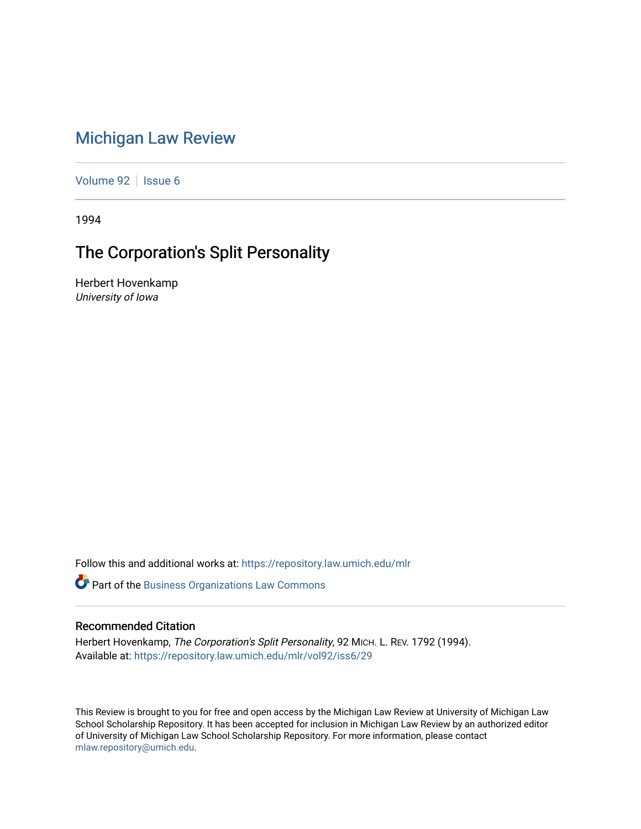# [Michigan Law Review](https://repository.law.umich.edu/mlr)

[Volume 92](https://repository.law.umich.edu/mlr/vol92) | [Issue 6](https://repository.law.umich.edu/mlr/vol92/iss6)

1994

# The Corporation's Split Personality

Herbert Hovenkamp University of Iowa

Follow this and additional works at: [https://repository.law.umich.edu/mlr](https://repository.law.umich.edu/mlr?utm_source=repository.law.umich.edu%2Fmlr%2Fvol92%2Fiss6%2F29&utm_medium=PDF&utm_campaign=PDFCoverPages) 

**Part of the [Business Organizations Law Commons](http://network.bepress.com/hgg/discipline/900?utm_source=repository.law.umich.edu%2Fmlr%2Fvol92%2Fiss6%2F29&utm_medium=PDF&utm_campaign=PDFCoverPages)** 

### Recommended Citation

Herbert Hovenkamp, The Corporation's Split Personality, 92 MICH. L. REV. 1792 (1994). Available at: [https://repository.law.umich.edu/mlr/vol92/iss6/29](https://repository.law.umich.edu/mlr/vol92/iss6/29?utm_source=repository.law.umich.edu%2Fmlr%2Fvol92%2Fiss6%2F29&utm_medium=PDF&utm_campaign=PDFCoverPages) 

This Review is brought to you for free and open access by the Michigan Law Review at University of Michigan Law School Scholarship Repository. It has been accepted for inclusion in Michigan Law Review by an authorized editor of University of Michigan Law School Scholarship Repository. For more information, please contact [mlaw.repository@umich.edu.](mailto:mlaw.repository@umich.edu)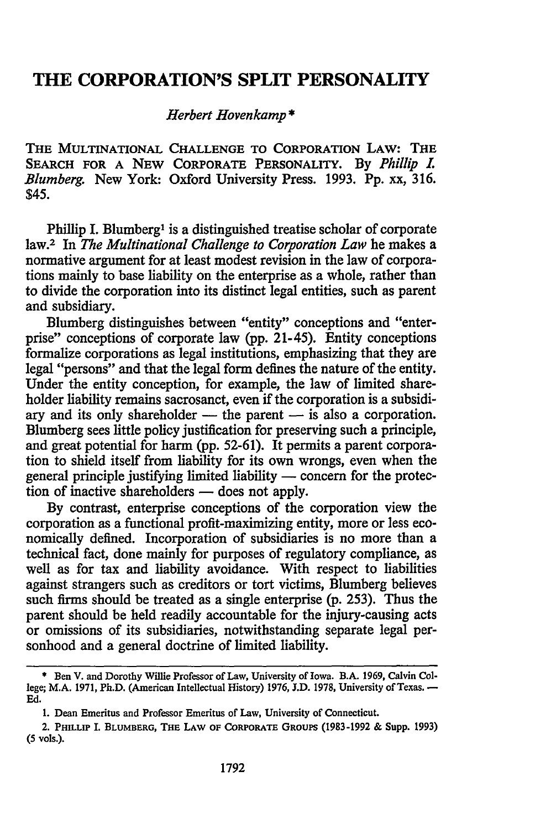### **THE CORPORATION'S SPLIT PERSONALITY**

#### *Herbert Hovenkamp* \*

THE MULTINATIONAL CHALLENGE TO CORPORATION LAW: THE SEARCH FOR A NEW CORPORATE PERSONALITY. By *Phillip L Blumberg.* New York: Oxford University Press. 1993. Pp. xx, 316. \$45.

Phillip I. Blumberg<sup>1</sup> is a distinguished treatise scholar of corporate law.2 In *The Multinational Challenge to Corporation Law* he makes a normative argument for at least modest revision in the law of corporations mainly to base liability on the enterprise as a whole, rather than to divide the corporation into its distinct legal entities, such as parent and subsidiary.

Blumberg distinguishes between "entity" conceptions and "enterprise" conceptions of corporate law (pp. 21-45). Entity conceptions formalize corporations as legal institutions, emphasizing that they are legal "persons" and that the legal form defines the nature of the entity. Under the entity conception, for example, the law of limited shareholder liability remains sacrosanct, even if the corporation is a subsidiary and its only shareholder  $-$  the parent  $-$  is also a corporation. Blumberg sees little policy justification for preserving such a principle, and great potential for harm (pp. 52-61). It permits a parent corporation to shield itself from liability for its own wrongs, even when the general principle justifying limited liability — concern for the protection of inactive shareholders — does not apply.

By contrast, enterprise conceptions of the corporation view the corporation as a functional profit-maximizing entity, more or less economically defined. Incorporation of subsidiaries is no more than a technical fact, done mainly for purposes of regulatory compliance, as well as for tax and liability avoidance. With respect to liabilities against strangers such as creditors or tort victims, Blumberg believes such firms should be treated as a single enterprise (p. 253). Thus the parent should be held readily accountable for the injury-causing acts or omissions of its subsidiaries, notwithstanding separate legal personhood and a general doctrine of limited liability.

<sup>•</sup> Ben V. and Dorothy Willie Professor of Law, University of Iowa. B.A. 1969, Calvin College; M.A. 1971, Ph.D. (American Intellectual History) 1976, J.D. 1978, University of Texas. -Ed.

<sup>1.</sup> Dean Emeritus and Professor Emeritus of Law, University of Connecticut.

<sup>2.</sup> PHILLIP I. BLUMBERG, THE LAW OF CoRPORATE GROUPS (1983-1992 & Supp. 1993) (5 vols.).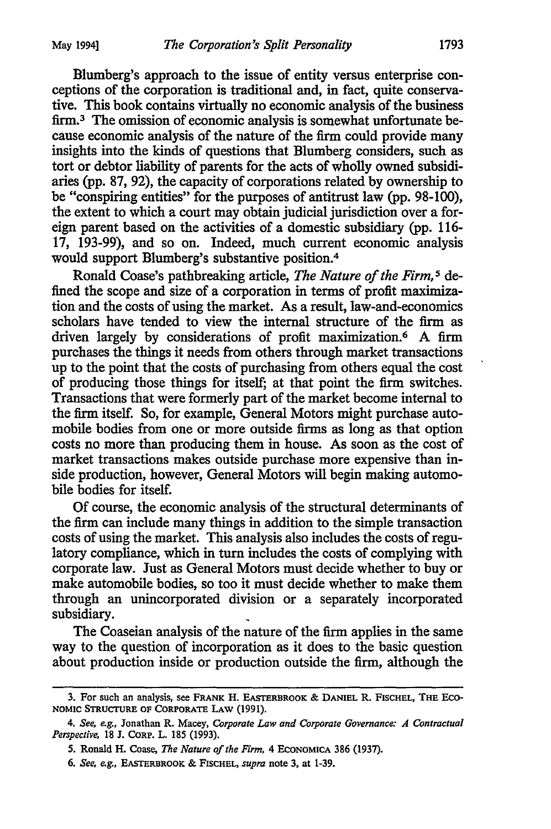Blumberg's approach to the issue of entity versus enterprise conceptions of the corporation is traditional and, in fact, quite conservative. This book contains virtually no economic analysis of the business firm.<sup>3</sup> The omission of economic analysis is somewhat unfortunate because economic analysis of the nature of the firm could provide many insights into the kinds of questions that Blumberg considers, such as tort or debtor liability of parents for the acts of wholly owned subsidiaries (pp. 87, 92), the capacity of corporations related by ownership to be "conspiring entities" for the purposes of antitrust law (pp. 98-100), the extent to which a court may obtain judicial jurisdiction over a foreign parent based on the activities of a domestic subsidiary (pp. 116- 17, 193-99), and so on. Indeed, much current economic analysis would support Blumberg's substantive position.<sup>4</sup>

Ronald Coase's pathbreaking article, *The Nature of the Firm,* 5 defined the scope and size of a corporation in terms of profit maximization and the costs of using the market. As a result, law-and-economics scholars have tended to view the internal structure of the firm as driven largely by considerations of profit maximization. 6 A firm purchases the things it needs from others through market transactions up to the point that the costs of purchasing from others equal the cost of producing those things for itself; at that point the firm switches. Transactions that were formerly part of the market become internal to the firm itself. So, for example, General Motors might purchase automobile bodies from one or more outside firms as long as that option costs no more than producing them in house. As soon as the cost of market transactions makes outside purchase more expensive than inside production, however, General Motors will begin making automobile bodies for itself.

Of course, the economic analysis of the structural determinants of the firm can include many things in addition to the simple transaction costs of using the market. This analysis also includes the costs of regulatory compliance, which in tum includes the costs of complying with corporate law. Just as General Motors must decide whether to buy or make automobile bodies, so too it must decide whether to make them through an unincorporated division or a separately incorporated subsidiary.

The Coaseian analysis of the nature of the firm applies in the same way to the question of incorporation as it does to the basic question about production inside or production outside the firm, although the

<sup>3.</sup> For such an analysis, see FRANK H. EASTERBROOK & DANIEL R. FISCHEL, THE Eco-NOMIC STRUCTURE OF CORPORATE LAW (1991).

<sup>4.</sup> *See, e.g.,* Jonathan R. Macey, *Corporate Law and Corporate Governance: A Contractual Perspective,* 18 J. CORP. L. 185 (1993).

<sup>5.</sup> Ronald H. Coase, *The Nature of the Firm,* 4 EcoNOMICA 386 (1937).

<sup>6.</sup> *See, e.g.,* EASTERBROOK & FISCHEL, *supra* note 3, at 1-39.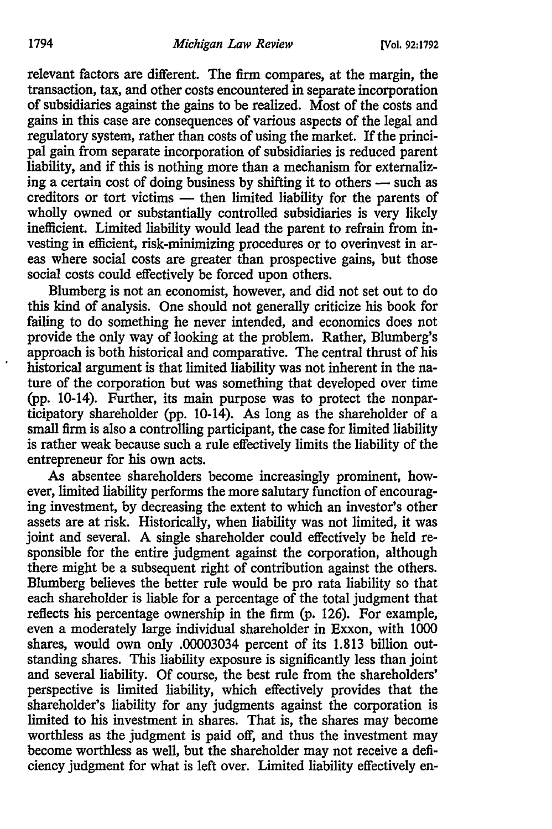relevant factors are different. The firm compares, at the margin, the transaction, tax, and other costs encountered in separate incorporation of subsidiaries against the gains to be realized. Most of the costs and gains in this case are consequences of various aspects of the legal and regulatory system, rather than costs of using the market. If the principal gain from separate incorporation of subsidiaries is reduced parent liability, and if this is nothing more than a mechanism for externalizing a certain cost of doing business by shifting it to others  $-$  such as creditors or tort victims — then limited liability for the parents of wholly owned or substantially controlled subsidiaries is very likely inefficient. Limited liability would lead the parent to refrain from investing in efficient, risk-minimizing procedures or to overinvest in areas where social costs are greater than prospective gains, but those social costs could effectively be forced upon others.

Blumberg is not an economist, however, and did not set out to do this kind of analysis. One should not generally criticize his book for failing to do something he never intended, and economics does not provide the only way of looking at the problem. Rather, Blumberg's approach is both historical and comparative. The central thrust of his historical argument is that limited liability was not inherent in the nature of the corporation but was something that developed over time (pp. 10-14). Further, its main purpose was to protect the nonparticipatory shareholder (pp. 10-14). As long as the shareholder of a small firm is also a controlling participant, the case for limited liability is rather weak because such a rule effectively limits the liability of the entrepreneur for his own acts.

As absentee shareholders become increasingly prominent, however, limited liability performs the more salutary function of encouraging investment, by decreasing the extent to which an investor's other assets are at risk. Historically, when liability was not limited, it was joint and several. A single shareholder could effectively be held responsible for the entire judgment against the corporation, although there might be a subsequent right of contribution against the others. Blumberg believes the better rule would be pro rata liability so that each shareholder is liable for a percentage of the total judgment that reflects his percentage ownership in the firm (p. 126). For example, even a moderately large individual shareholder in Exxon, with 1000 shares, would own only .00003034 percent of its 1.813 billion outstanding shares. This liability exposure is significantly less than joint and several liability. Of course, the best rule from the shareholders' perspective is limited liability, which effectively provides that the shareholder's liability for any judgments against the corporation is limited to his investment in shares. That is, the shares may become worthless as the judgment is paid off, and thus the investment may become worthless as well, but the shareholder may not receive a deficiency judgment for what is left over. Limited liability effectively en-

 $\ddot{\phantom{0}}$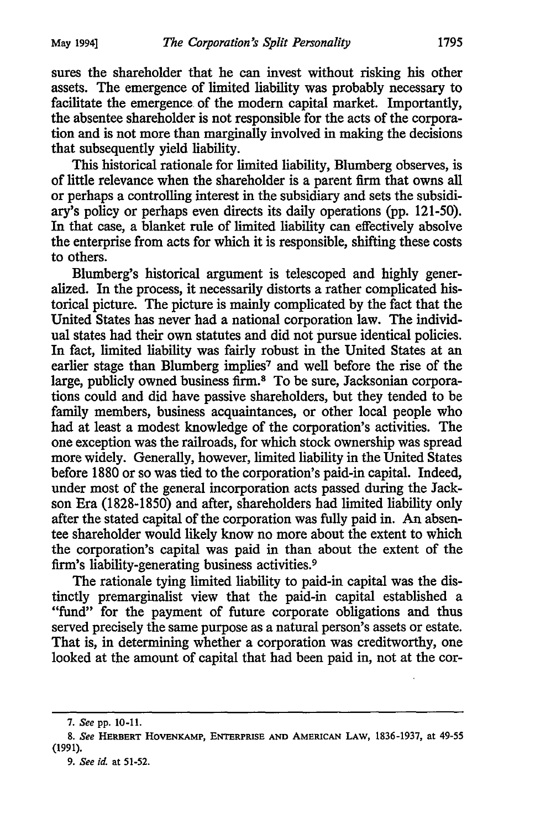sures the shareholder that he can invest without risking his other assets. The emergence of limited liability was probably necessary to facilitate the emergence. of the modern capital market. Importantly, the absentee shareholder is not responsible for the acts of the corporation and is not more than marginally involved in making the decisions that subsequently yield liability.

This historical rationale for limited liability, Blumberg observes, is of little relevance when the shareholder is a parent firm that owns all or perhaps a controlling interest in the subsidiary and sets the subsidiary's policy or perhaps even directs its daily operations (pp. 121-50). In that case, a blanket rule of limited liability can effectively absolve the enterprise from acts for which it is responsible, shifting these costs to others.

Blumberg's historical argument is telescoped and highly generalized. In the process, it necessarily distorts a rather complicated historical picture. The picture is mainly complicated by the fact that the United States has never had a national corporation law. The individual states had their own statutes and did not pursue identical policies. In fact, limited liability was fairly robust in the United States at an earlier stage than Blumberg implies<sup>7</sup> and well before the rise of the large, publicly owned business firm.<sup>8</sup> To be sure, Jacksonian corporations could and did have passive shareholders, but they tended to be family members, business acquaintances, or other local people who had at least a modest knowledge of the corporation's activities. The one exception was the railroads, for which stock ownership was spread more widely. Generally, however, limited liability in the United States before 1880 or so was tied to the corporation's paid-in capital. Indeed, under most of the general incorporation acts passed during the Jackson Era (1828-1850) and after, shareholders had limited liability only after the stated capital of the corporation was fully paid in. An absentee shareholder would likely know no more about the extent to which the corporation's capital was paid in than about the extent of the firm's liability-generating business activities.9

The rationale tying limited liability to paid-in capital was the distinctly premarginalist view that the paid-in capital established a "fund" for the payment of future corporate obligations and thus served precisely the same purpose as a natural person's assets or estate. That is, in determining whether a corporation was creditworthy, one looked at the amount of capital that had been paid in, not at the cor-

<sup>7.</sup> *See* pp. 10-11.

<sup>8.</sup> *See* HERBERT HOVENKAMP, ENTERPRISE AND AMERICAN LAW, 1836-1937, at 49-55 (1991).

<sup>9.</sup> *See id.* at 51-52.